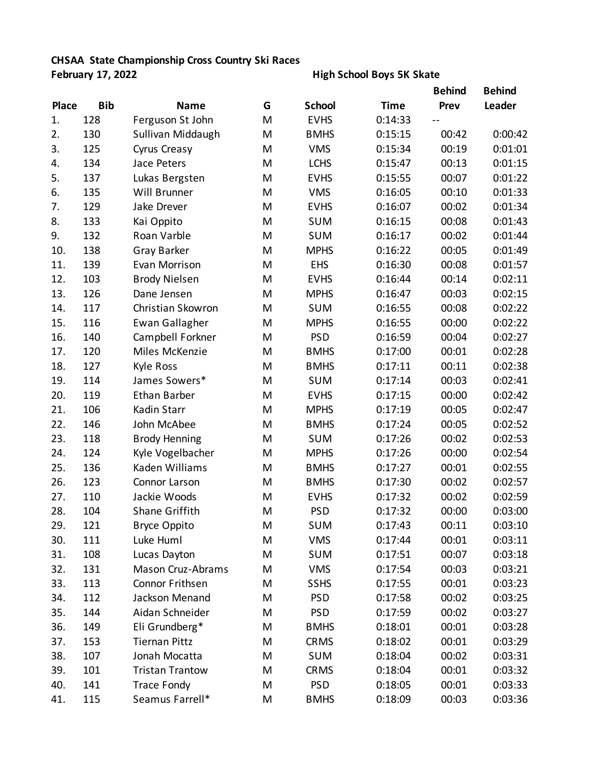## **CHSAA State Championship Cross Country Ski Races**

## **February 17, 2022 High School Boys 5K Skate**

|              |            |                        |   |               |             | <b>Behind</b> | <b>Behind</b> |
|--------------|------------|------------------------|---|---------------|-------------|---------------|---------------|
| <b>Place</b> | <b>Bib</b> | <b>Name</b>            | G | <b>School</b> | <b>Time</b> | Prev          | Leader        |
| 1.           | 128        | Ferguson St John       | M | <b>EVHS</b>   | 0:14:33     |               |               |
| 2.           | 130        | Sullivan Middaugh      | M | <b>BMHS</b>   | 0:15:15     | 00:42         | 0:00:42       |
| 3.           | 125        | <b>Cyrus Creasy</b>    | M | <b>VMS</b>    | 0:15:34     | 00:19         | 0:01:01       |
| 4.           | 134        | Jace Peters            | M | <b>LCHS</b>   | 0:15:47     | 00:13         | 0:01:15       |
| 5.           | 137        | Lukas Bergsten         | M | <b>EVHS</b>   | 0:15:55     | 00:07         | 0:01:22       |
| 6.           | 135        | Will Brunner           | M | <b>VMS</b>    | 0:16:05     | 00:10         | 0:01:33       |
| 7.           | 129        | Jake Drever            | M | <b>EVHS</b>   | 0:16:07     | 00:02         | 0:01:34       |
| 8.           | 133        | Kai Oppito             | M | <b>SUM</b>    | 0:16:15     | 00:08         | 0:01:43       |
| 9.           | 132        | Roan Varble            | M | SUM           | 0:16:17     | 00:02         | 0:01:44       |
| 10.          | 138        | <b>Gray Barker</b>     | M | <b>MPHS</b>   | 0:16:22     | 00:05         | 0:01:49       |
| 11.          | 139        | Evan Morrison          | M | <b>EHS</b>    | 0:16:30     | 00:08         | 0:01:57       |
| 12.          | 103        | <b>Brody Nielsen</b>   | M | <b>EVHS</b>   | 0:16:44     | 00:14         | 0:02:11       |
| 13.          | 126        | Dane Jensen            | M | <b>MPHS</b>   | 0:16:47     | 00:03         | 0:02:15       |
| 14.          | 117        | Christian Skowron      | M | <b>SUM</b>    | 0:16:55     | 00:08         | 0:02:22       |
| 15.          | 116        | <b>Ewan Gallagher</b>  | M | <b>MPHS</b>   | 0:16:55     | 00:00         | 0:02:22       |
| 16.          | 140        | Campbell Forkner       | M | <b>PSD</b>    | 0:16:59     | 00:04         | 0:02:27       |
| 17.          | 120        | Miles McKenzie         | M | <b>BMHS</b>   | 0:17:00     | 00:01         | 0:02:28       |
| 18.          | 127        | Kyle Ross              | M | <b>BMHS</b>   | 0:17:11     | 00:11         | 0:02:38       |
| 19.          | 114        | James Sowers*          | M | <b>SUM</b>    | 0:17:14     | 00:03         | 0:02:41       |
| 20.          | 119        | <b>Ethan Barber</b>    | M | <b>EVHS</b>   | 0:17:15     | 00:00         | 0:02:42       |
| 21.          | 106        | Kadin Starr            | M | <b>MPHS</b>   | 0:17:19     | 00:05         | 0:02:47       |
| 22.          | 146        | John McAbee            | M | <b>BMHS</b>   | 0:17:24     | 00:05         | 0:02:52       |
| 23.          | 118        | <b>Brody Henning</b>   | M | <b>SUM</b>    | 0:17:26     | 00:02         | 0:02:53       |
| 24.          | 124        | Kyle Vogelbacher       | M | <b>MPHS</b>   | 0:17:26     | 00:00         | 0:02:54       |
| 25.          | 136        | Kaden Williams         | M | <b>BMHS</b>   | 0:17:27     | 00:01         | 0:02:55       |
| 26.          | 123        | Connor Larson          | M | <b>BMHS</b>   | 0:17:30     | 00:02         | 0:02:57       |
| 27.          | 110        | Jackie Woods           | M | <b>EVHS</b>   | 0:17:32     | 00:02         | 0:02:59       |
| 28.          | 104        | <b>Shane Griffith</b>  | M | <b>PSD</b>    | 0:17:32     | 00:00         | 0:03:00       |
| 29.          | 121        | <b>Bryce Oppito</b>    | M | <b>SUM</b>    | 0:17:43     | 00:11         | 0:03:10       |
| 30.          | 111        | Luke Huml              | M | <b>VMS</b>    | 0:17:44     | 00:01         | 0:03:11       |
| 31.          | 108        | Lucas Dayton           | M | <b>SUM</b>    | 0:17:51     | 00:07         | 0:03:18       |
| 32.          | 131        | Mason Cruz-Abrams      | M | <b>VMS</b>    | 0:17:54     | 00:03         | 0:03:21       |
| 33.          | 113        | Connor Frithsen        | M | <b>SSHS</b>   | 0:17:55     | 00:01         | 0:03:23       |
| 34.          | 112        | Jackson Menand         | M | <b>PSD</b>    | 0:17:58     | 00:02         | 0:03:25       |
| 35.          | 144        | Aidan Schneider        | M | <b>PSD</b>    | 0:17:59     | 00:02         | 0:03:27       |
| 36.          | 149        | Eli Grundberg*         | M | <b>BMHS</b>   | 0:18:01     | 00:01         | 0:03:28       |
| 37.          | 153        | <b>Tiernan Pittz</b>   | M | <b>CRMS</b>   | 0:18:02     | 00:01         | 0:03:29       |
| 38.          | 107        | Jonah Mocatta          | M | <b>SUM</b>    | 0:18:04     | 00:02         | 0:03:31       |
| 39.          | 101        | <b>Tristan Trantow</b> | M | <b>CRMS</b>   | 0:18:04     | 00:01         | 0:03:32       |
| 40.          | 141        | <b>Trace Fondy</b>     | M | <b>PSD</b>    | 0:18:05     | 00:01         | 0:03:33       |
| 41.          | 115        | Seamus Farrell*        | M | <b>BMHS</b>   | 0:18:09     | 00:03         | 0:03:36       |